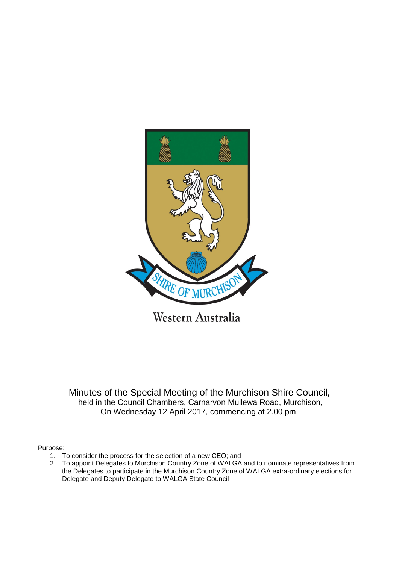

Western Australia

Minutes of the Special Meeting of the Murchison Shire Council, held in the Council Chambers, Carnarvon Mullewa Road, Murchison, On Wednesday 12 April 2017, commencing at 2.00 pm.

Purpose:

- 1. To consider the process for the selection of a new CEO; and
- 2. To appoint Delegates to Murchison Country Zone of WALGA and to nominate representatives from the Delegates to participate in the Murchison Country Zone of WALGA extra-ordinary elections for Delegate and Deputy Delegate to WALGA State Council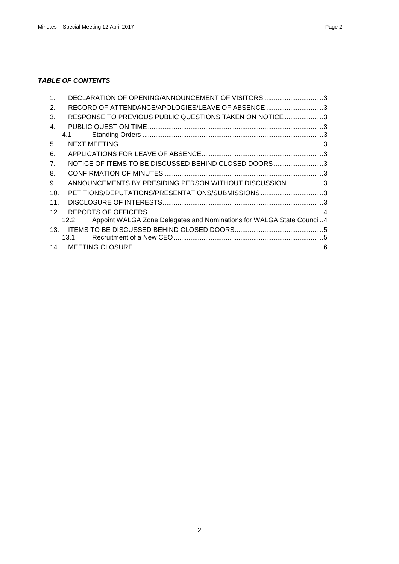# *TABLE OF CONTENTS*

| 1 <sub>1</sub>  | DECLARATION OF OPENING/ANNOUNCEMENT OF VISITORS 3                             |  |
|-----------------|-------------------------------------------------------------------------------|--|
| 2.              | RECORD OF ATTENDANCE/APOLOGIES/LEAVE OF ABSENCE 3                             |  |
| 3.              | RESPONSE TO PREVIOUS PUBLIC QUESTIONS TAKEN ON NOTICE 3                       |  |
| $\mathbf{4}$ .  |                                                                               |  |
|                 | 4.1                                                                           |  |
| 5.              |                                                                               |  |
| 6.              |                                                                               |  |
| 7.              | NOTICE OF ITEMS TO BE DISCUSSED BEHIND CLOSED DOORS3                          |  |
| 8.              |                                                                               |  |
| 9.              | ANNOUNCEMENTS BY PRESIDING PERSON WITHOUT DISCUSSION3                         |  |
| 10.             | PETITIONS/DEPUTATIONS/PRESENTATIONS/SUBMISSIONS3                              |  |
| 11.             |                                                                               |  |
| 12.             |                                                                               |  |
|                 | Appoint WALGA Zone Delegates and Nominations for WALGA State Council4<br>12.2 |  |
| 13 <sub>1</sub> |                                                                               |  |
|                 | 13.1                                                                          |  |
| 14.             |                                                                               |  |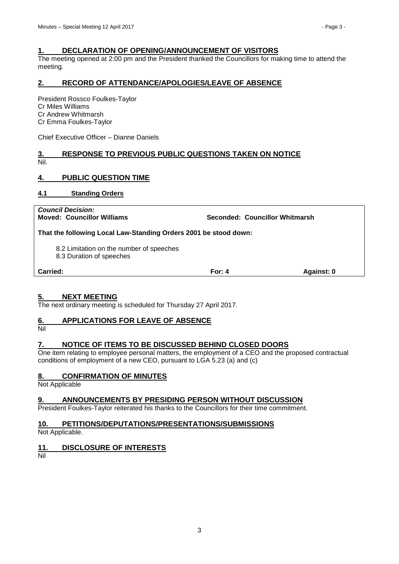## <span id="page-2-0"></span>**1. DECLARATION OF OPENING/ANNOUNCEMENT OF VISITORS**

The meeting opened at 2:00 pm and the President thanked the Councillors for making time to attend the meeting.

# <span id="page-2-1"></span>**2. RECORD OF ATTENDANCE/APOLOGIES/LEAVE OF ABSENCE**

President Rossco Foulkes-Taylor Cr Miles Williams Cr Andrew Whitmarsh Cr Emma Foulkes-Taylor

Chief Executive Officer – Dianne Daniels

# <span id="page-2-2"></span>**3. RESPONSE TO PREVIOUS PUBLIC QUESTIONS TAKEN ON NOTICE** Nil.

## <span id="page-2-3"></span>**4. PUBLIC QUESTION TIME**

# <span id="page-2-4"></span>**4.1 Standing Orders**

*Council Decision:*

**Moved: Councillor Williams Seconded: Councillor Whitmarsh**

**That the following Local Law-Standing Orders 2001 be stood down:**

8.2 Limitation on the number of speeches

8.3 Duration of speeches

**Carried: For: 4 Against: 0**

# <span id="page-2-5"></span>**5. NEXT MEETING**

The next ordinary meeting is scheduled for Thursday 27 April 2017.

## <span id="page-2-6"></span>**6. APPLICATIONS FOR LEAVE OF ABSENCE**

Nil

## <span id="page-2-7"></span>**7. NOTICE OF ITEMS TO BE DISCUSSED BEHIND CLOSED DOORS**

One item relating to employee personal matters, the employment of a CEO and the proposed contractual conditions of employment of a new CEO, pursuant to LGA 5.23 (a) and (c)

## <span id="page-2-8"></span>**8. CONFIRMATION OF MINUTES**

Not Applicable

## <span id="page-2-9"></span>**9. ANNOUNCEMENTS BY PRESIDING PERSON WITHOUT DISCUSSION**

President Foulkes-Taylor reiterated his thanks to the Councillors for their time commitment.

# <span id="page-2-10"></span>**10. PETITIONS/DEPUTATIONS/PRESENTATIONS/SUBMISSIONS**

Not Applicable.

# <span id="page-2-11"></span>**11. DISCLOSURE OF INTERESTS**

Nil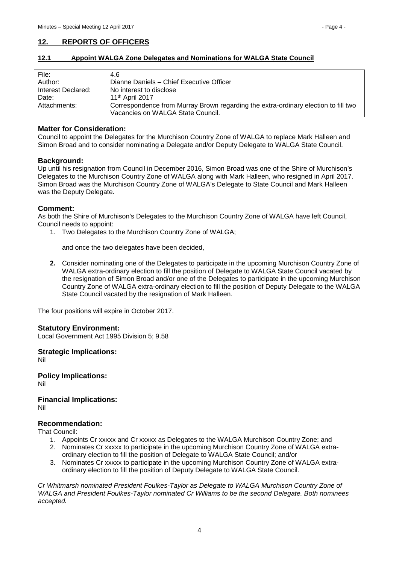# <span id="page-3-0"></span>**12. REPORTS OF OFFICERS**

# <span id="page-3-1"></span>**12.1 Appoint WALGA Zone Delegates and Nominations for WALGA State Council**

| File:              | 4.6                                                                                |
|--------------------|------------------------------------------------------------------------------------|
| Author:            | Dianne Daniels - Chief Executive Officer                                           |
| Interest Declared: | No interest to disclose                                                            |
| Date:              | 11 <sup>th</sup> April 2017                                                        |
| Attachments:       | Correspondence from Murray Brown regarding the extra-ordinary election to fill two |
|                    | Vacancies on WALGA State Council.                                                  |

# **Matter for Consideration:**

Council to appoint the Delegates for the Murchison Country Zone of WALGA to replace Mark Halleen and Simon Broad and to consider nominating a Delegate and/or Deputy Delegate to WALGA State Council.

# **Background:**

Up until his resignation from Council in December 2016, Simon Broad was one of the Shire of Murchison's Delegates to the Murchison Country Zone of WALGA along with Mark Halleen, who resigned in April 2017. Simon Broad was the Murchison Country Zone of WALGA's Delegate to State Council and Mark Halleen was the Deputy Delegate.

# **Comment:**

As both the Shire of Murchison's Delegates to the Murchison Country Zone of WALGA have left Council, Council needs to appoint:

1. Two Delegates to the Murchison Country Zone of WALGA;

and once the two delegates have been decided,

**2.** Consider nominating one of the Delegates to participate in the upcoming Murchison Country Zone of WALGA extra-ordinary election to fill the position of Delegate to WALGA State Council vacated by the resignation of Simon Broad and/or one of the Delegates to participate in the upcoming Murchison Country Zone of WALGA extra-ordinary election to fill the position of Deputy Delegate to the WALGA State Council vacated by the resignation of Mark Halleen.

The four positions will expire in October 2017.

## **Statutory Environment:**

Local Government Act 1995 Division 5; 9.58

# **Strategic Implications:**

Nil

**Policy Implications:** Nil

**Financial Implications:** Nil

# **Recommendation:**

That Council:

- 1. Appoints Cr xxxxx and Cr xxxxx as Delegates to the WALGA Murchison Country Zone; and
- 2. Nominates Cr xxxxx to participate in the upcoming Murchison Country Zone of WALGA extraordinary election to fill the position of Delegate to WALGA State Council; and/or
- 3. Nominates Cr xxxxx to participate in the upcoming Murchison Country Zone of WALGA extraordinary election to fill the position of Deputy Delegate to WALGA State Council.

*Cr Whitmarsh nominated President Foulkes-Taylor as Delegate to WALGA Murchison Country Zone of WALGA and President Foulkes-Taylor nominated Cr Williams to be the second Delegate. Both nominees accepted.*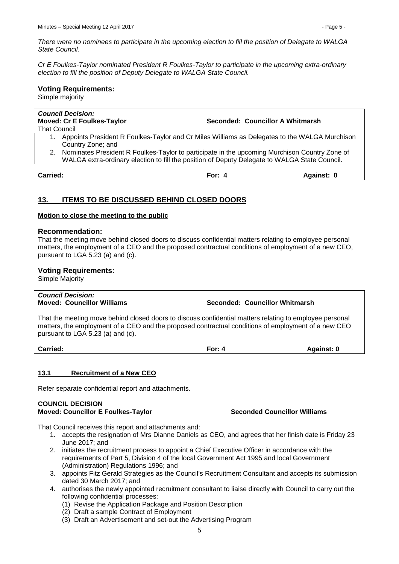*There were no nominees to participate in the upcoming election to fill the position of Delegate to WALGA State Council.*

*Cr E Foulkes-Taylor nominated President R Foulkes-Taylor to participate in the upcoming extra-ordinary election to fill the position of Deputy Delegate to WALGA State Council.*

#### **Voting Requirements:**

Simple majority

# *Council Decision:*

**Seconded: Councillor A Whitmarsh** 

That Council

- 1. Appoints President R Foulkes-Taylor and Cr Miles Williams as Delegates to the WALGA Murchison Country Zone; and
- 2. Nominates President R Foulkes-Taylor to participate in the upcoming Murchison Country Zone of WALGA extra-ordinary election to fill the position of Deputy Delegate to WALGA State Council.

**Carried: For: 4 Against: 0**

# <span id="page-4-0"></span>**13. ITEMS TO BE DISCUSSED BEHIND CLOSED DOORS**

#### **Motion to close the meeting to the public**

#### **Recommendation:**

That the meeting move behind closed doors to discuss confidential matters relating to employee personal matters, the employment of a CEO and the proposed contractual conditions of employment of a new CEO, pursuant to LGA 5.23 (a) and (c).

## **Voting Requirements:**

Simple Majority

# *Council Decision:*

**Moved: Councillor Williams Seconded: Councillor Whitmarsh**

That the meeting move behind closed doors to discuss confidential matters relating to employee personal matters, the employment of a CEO and the proposed contractual conditions of employment of a new CEO pursuant to LGA 5.23 (a) and (c).

**Carried: For: 4 Against: 0**

## <span id="page-4-1"></span>**13.1 Recruitment of a New CEO**

Refer separate confidential report and attachments.

#### **COUNCIL DECISION Moved: Councillor E Foulkes-Taylor Seconded Councillor Williams**

That Council receives this report and attachments and:

- 1. accepts the resignation of Mrs Dianne Daniels as CEO, and agrees that her finish date is Friday 23 June 2017; and
- 2. initiates the recruitment process to appoint a Chief Executive Officer in accordance with the requirements of Part 5, Division 4 of the local Government Act 1995 and local Government (Administration) Regulations 1996; and
- 3. appoints Fitz Gerald Strategies as the Council's Recruitment Consultant and accepts its submission dated 30 March 2017; and
- 4. authorises the newly appointed recruitment consultant to liaise directly with Council to carry out the following confidential processes:
	- (1) Revise the Application Package and Position Description
	- (2) Draft a sample Contract of Employment
	- (3) Draft an Advertisement and set-out the Advertising Program